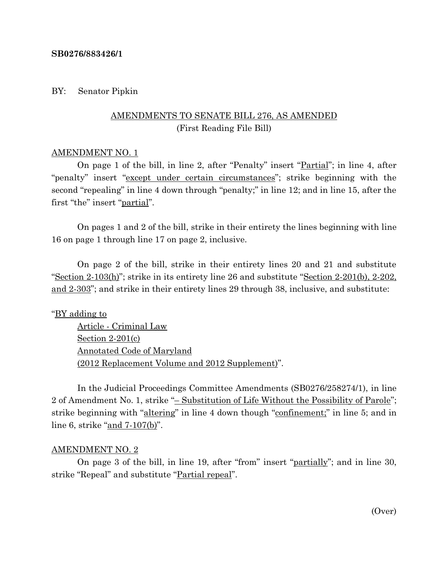#### **SB0276/883426/1**

#### BY: Senator Pipkin

## AMENDMENTS TO SENATE BILL 276, AS AMENDED (First Reading File Bill)

#### AMENDMENT NO. 1

On page 1 of the bill, in line 2, after "Penalty" insert "Partial"; in line 4, after "penalty" insert "except under certain circumstances"; strike beginning with the second "repealing" in line 4 down through "penalty;" in line 12; and in line 15, after the first "the" insert "partial".

On pages 1 and 2 of the bill, strike in their entirety the lines beginning with line 16 on page 1 through line 17 on page 2, inclusive.

On page 2 of the bill, strike in their entirety lines 20 and 21 and substitute "Section 2-103(h)"; strike in its entirety line 26 and substitute "Section 2-201(b), 2-202, and 2-303"; and strike in their entirety lines 29 through 38, inclusive, and substitute:

#### "BY adding to

Article - Criminal Law Section 2-201(c) Annotated Code of Maryland (2012 Replacement Volume and 2012 Supplement)".

In the Judicial Proceedings Committee Amendments (SB0276/258274/1), in line 2 of Amendment No. 1, strike "– Substitution of Life Without the Possibility of Parole"; strike beginning with "altering" in line 4 down though "confinement;" in line 5; and in line 6, strike "and 7-107(b)".

#### AMENDMENT NO. 2

On page 3 of the bill, in line 19, after "from" insert "partially"; and in line 30, strike "Repeal" and substitute "Partial repeal".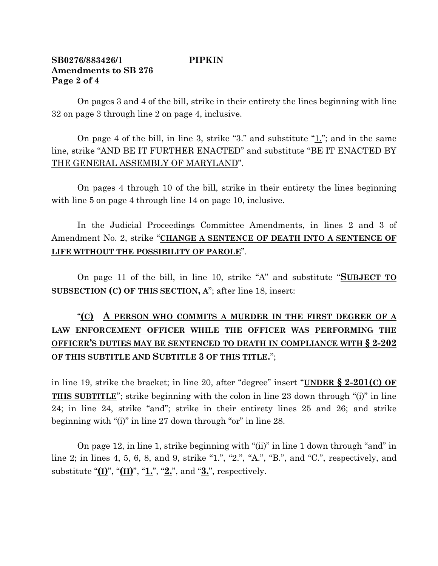## **SB0276/883426/1 PIPKIN Amendments to SB 276 Page 2 of 4**

On pages 3 and 4 of the bill, strike in their entirety the lines beginning with line 32 on page 3 through line 2 on page 4, inclusive.

On page 4 of the bill, in line 3, strike "3." and substitute "1."; and in the same line, strike "AND BE IT FURTHER ENACTED" and substitute "BE IT ENACTED BY THE GENERAL ASSEMBLY OF MARYLAND".

On pages 4 through 10 of the bill, strike in their entirety the lines beginning with line 5 on page 4 through line 14 on page 10, inclusive.

In the Judicial Proceedings Committee Amendments, in lines 2 and 3 of Amendment No. 2, strike "**CHANGE A SENTENCE OF DEATH INTO A SENTENCE OF LIFE WITHOUT THE POSSIBILITY OF PAROLE**".

On page 11 of the bill, in line 10, strike "A" and substitute "**SUBJECT TO SUBSECTION (C) OF THIS SECTION, A**"; after line 18, insert:

# "**(C) A PERSON WHO COMMITS A MURDER IN THE FIRST DEGREE OF A LAW ENFORCEMENT OFFICER WHILE THE OFFICER WAS PERFORMING THE OFFICER'S DUTIES MAY BE SENTENCED TO DEATH IN COMPLIANCE WITH § 2-202 OF THIS SUBTITLE AND SUBTITLE 3 OF THIS TITLE.**";

in line 19, strike the bracket; in line 20, after "degree" insert "**UNDER § 2-201(C) OF THIS SUBTITLE**"; strike beginning with the colon in line 23 down through "(i)" in line 24; in line 24, strike "and"; strike in their entirety lines 25 and 26; and strike beginning with "(i)" in line 27 down through "or" in line 28.

On page 12, in line 1, strike beginning with "(ii)" in line 1 down through "and" in line 2; in lines 4, 5, 6, 8, and 9, strike "1.", "2.", "A.", "B.", and "C.", respectively, and substitute " $(I)$ ", " $(I)$ ", " $I$ .", " $2$ .", and " $3$ .", respectively.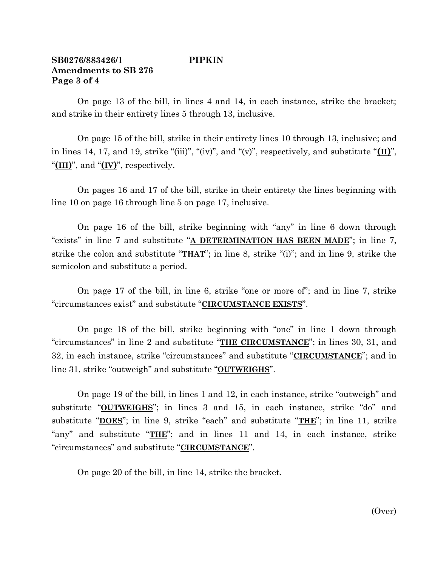### **SB0276/883426/1 PIPKIN Amendments to SB 276 Page 3 of 4**

On page 13 of the bill, in lines 4 and 14, in each instance, strike the bracket; and strike in their entirety lines 5 through 13, inclusive.

On page 15 of the bill, strike in their entirety lines 10 through 13, inclusive; and in lines 14, 17, and 19, strike "(iii)", "(iv)", and "(v)", respectively, and substitute "**(II)**", "**(III)**", and "**(IV)**", respectively.

On pages 16 and 17 of the bill, strike in their entirety the lines beginning with line 10 on page 16 through line 5 on page 17, inclusive.

On page 16 of the bill, strike beginning with "any" in line 6 down through "exists" in line 7 and substitute "**A DETERMINATION HAS BEEN MADE**"; in line 7, strike the colon and substitute "**THAT**"; in line 8, strike "(i)"; and in line 9, strike the semicolon and substitute a period.

On page 17 of the bill, in line 6, strike "one or more of"; and in line 7, strike "circumstances exist" and substitute "**CIRCUMSTANCE EXISTS**".

On page 18 of the bill, strike beginning with "one" in line 1 down through "circumstances" in line 2 and substitute "**THE CIRCUMSTANCE**"; in lines 30, 31, and 32, in each instance, strike "circumstances" and substitute "**CIRCUMSTANCE**"; and in line 31, strike "outweigh" and substitute "**OUTWEIGHS**".

On page 19 of the bill, in lines 1 and 12, in each instance, strike "outweigh" and substitute "**OUTWEIGHS**"; in lines 3 and 15, in each instance, strike "do" and substitute "**DOES**"; in line 9, strike "each" and substitute "**THE**"; in line 11, strike "any" and substitute "**THE**"; and in lines 11 and 14, in each instance, strike "circumstances" and substitute "**CIRCUMSTANCE**".

On page 20 of the bill, in line 14, strike the bracket.